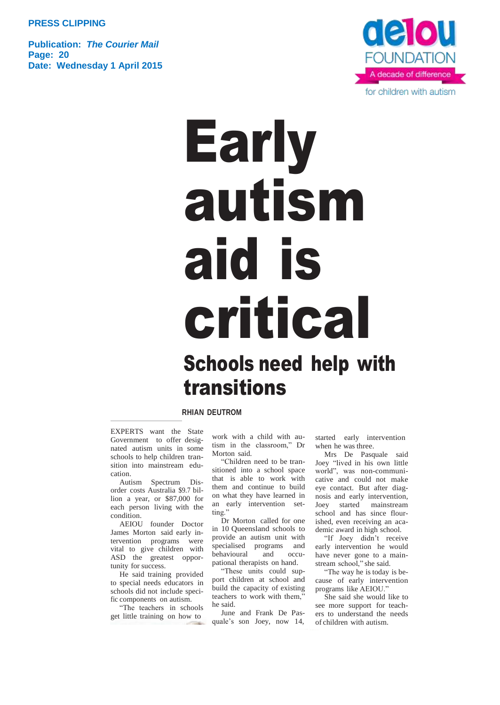**PRESS CLIPPING**

**Publication:** *The Courier Mail* **Page: 20 Date: Wednesday 1 April 2015**



## Early autism aid is critical Schools need help with transitions

## **RHIAN DEUTROM**

EXPERTS want the State Government to offer designated autism units in some schools to help children transition into mainstream education.

Autism Spectrum Disorder costs Australia \$9.7 billion a year, or \$87,000 for each person living with the condition.

AEIOU founder Doctor James Morton said early intervention programs were vital to give children with ASD the greatest opportunity for success.

He said training provided to special needs educators in schools did not include specific components on autism.

"The teachers in schools get little training on how to work with a child with autism in the classroom," Dr Morton said.

"Children need to be transitioned into a school space that is able to work with them and continue to build on what they have learned in an early intervention setting."

Dr Morton called for one in 10 Queensland schools to provide an autism unit with specialised programs and behavioural and occupational therapists on hand.

"These units could support children at school and build the capacity of existing teachers to work with them, he said.

June and Frank De Pasquale's son Joey, now 14, started early intervention when he was three.

Mrs De Pasquale said Joey "lived in his own little world", was non-communicative and could not make eye contact. But after diagnosis and early intervention, Joey started mainstream school and has since flourished, even receiving an academic award in high school.

"If Joey didn't receive early intervention he would have never gone to a mainstream school," she said.

"The way he is today is because of early intervention programs like AEIOU."

She said she would like to see more support for teachers to understand the needs of children with autism.